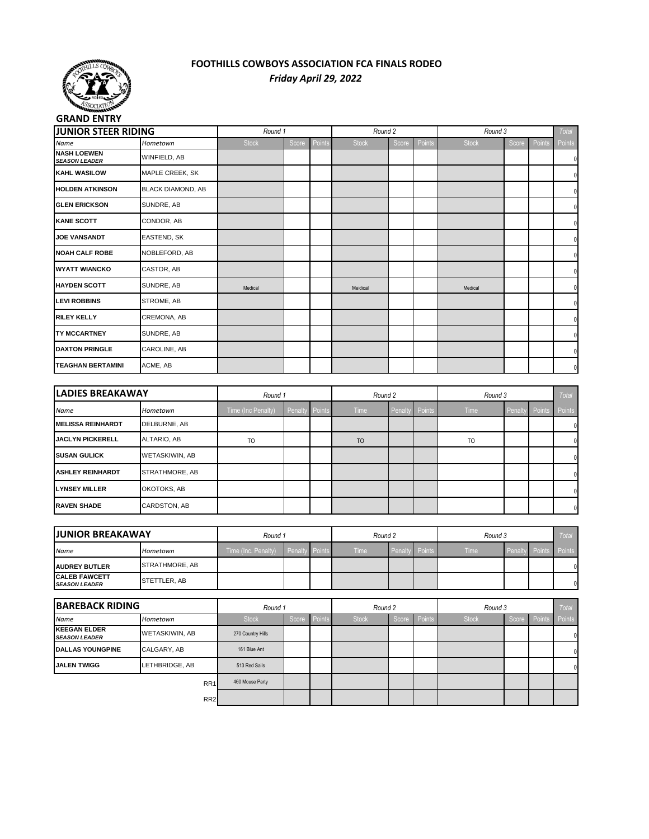

## **FOOTHILLS COWBOYS ASSOCIATION FCA FINALS RODEO** *Friday April 29, 2022*

| <b>JUNIOR STEER RIDING</b>                 |                          | Round 1      |       |        |              | Round 2 |               | Round 3      |       |        | Total  |
|--------------------------------------------|--------------------------|--------------|-------|--------|--------------|---------|---------------|--------------|-------|--------|--------|
| Name                                       | Hometown                 | <b>Stock</b> | Score | Points | <b>Stock</b> | Score   | <b>Points</b> | <b>Stock</b> | Score | Points | Points |
| <b>NASH LOEWEN</b><br><b>SEASON LEADER</b> | WINFIELD, AB             |              |       |        |              |         |               |              |       |        | O      |
| <b>KAHL WASILOW</b>                        | MAPLE CREEK, SK          |              |       |        |              |         |               |              |       |        | O      |
| <b>HOLDEN ATKINSON</b>                     | <b>BLACK DIAMOND, AB</b> |              |       |        |              |         |               |              |       |        | 0      |
| <b>GLEN ERICKSON</b>                       | SUNDRE, AB               |              |       |        |              |         |               |              |       |        | 0      |
| <b>KANE SCOTT</b>                          | CONDOR, AB               |              |       |        |              |         |               |              |       |        | O      |
| <b>JOE VANSANDT</b>                        | EASTEND, SK              |              |       |        |              |         |               |              |       |        | O      |
| <b>NOAH CALF ROBE</b>                      | NOBLEFORD, AB            |              |       |        |              |         |               |              |       |        | O      |
| <b>WYATT WIANCKO</b>                       | CASTOR, AB               |              |       |        |              |         |               |              |       |        | O      |
| <b>HAYDEN SCOTT</b>                        | SUNDRE, AB               | Medical      |       |        | Meidical     |         |               | Medical      |       |        | 0      |
| <b>LEVI ROBBINS</b>                        | STROME, AB               |              |       |        |              |         |               |              |       |        | O      |
| <b>RILEY KELLY</b>                         | CREMONA, AB              |              |       |        |              |         |               |              |       |        | O      |
| <b>ITY MCCARTNEY</b>                       | SUNDRE, AB               |              |       |        |              |         |               |              |       |        | 0      |
| <b>DAXTON PRINGLE</b>                      | CAROLINE, AB             |              |       |        |              |         |               |              |       |        | 0      |
| <b>TEAGHAN BERTAMINI</b>                   | ACME, AB                 |              |       |        |              |         |               |              |       |        | 0      |

|                           | <b>LADIES BREAKAWAY</b> |                    | Round 1        |  | Round 2        |  |                | Round 3        |  |                | Total        |
|---------------------------|-------------------------|--------------------|----------------|--|----------------|--|----------------|----------------|--|----------------|--------------|
| Name                      | Hometown                | Time (Inc Penalty) | Penalty Points |  | Time           |  | Penalty Points | <b>Time</b>    |  | Penalty Points | Points       |
| <b>IMELISSA REINHARDT</b> | DELBURNE, AB            |                    |                |  |                |  |                |                |  |                | $\mathbf{0}$ |
| <b>JACLYN PICKERELL</b>   | ALTARIO, AB             | T <sub>O</sub>     |                |  | T <sub>O</sub> |  |                | T <sub>O</sub> |  |                | 0            |
| <b>ISUSAN GULICK</b>      | WETASKIWIN, AB          |                    |                |  |                |  |                |                |  |                | 0            |
| <b>ASHLEY REINHARDT</b>   | STRATHMORE, AB          |                    |                |  |                |  |                |                |  |                | $\mathbf{0}$ |
| <b>ILYNSEY MILLER</b>     | OKOTOKS, AB             |                    |                |  |                |  |                |                |  |                | $\mathbf{0}$ |
| <b>IRAVEN SHADE</b>       | CARDSTON, AB            |                    |                |  |                |  |                |                |  |                | $\mathbf{0}$ |

| <b>JUNIOR BREAKAWAY</b>                       |                       | Round 1             |                       |  | Round 2 |  |                       | Round 3 |                | <b>Total</b>         |  |
|-----------------------------------------------|-----------------------|---------------------|-----------------------|--|---------|--|-----------------------|---------|----------------|----------------------|--|
| <b>Name</b>                                   | Hometown              | Time (Inc. Penalty) | <b>Penalty Points</b> |  | Time    |  | <b>Penalty Points</b> | Time    | <b>Penalty</b> | <b>Points</b> Points |  |
| <b>JAUDREY BUTLER</b>                         | <b>STRATHMORE, AB</b> |                     |                       |  |         |  |                       |         |                |                      |  |
| <b>ICALEB FAWCETT</b><br><b>SEASON LEADER</b> | STETTLER, AB          |                     |                       |  |         |  |                       |         |                |                      |  |

|                                              | <b>BAREBACK RIDING</b> |                   | Round 1 |        | Round 2      |       |        | Round 3      |  |              | Total  |
|----------------------------------------------|------------------------|-------------------|---------|--------|--------------|-------|--------|--------------|--|--------------|--------|
| <b>Name</b>                                  | Hometown               | <b>Stock</b>      | Score   | Points | <b>Stock</b> | Score | Points | <b>Stock</b> |  | Score Points | Points |
| <b>IKEEGAN ELDER</b><br><b>SEASON LEADER</b> | <b>WETASKIWIN, AB</b>  | 270 Country Hills |         |        |              |       |        |              |  |              |        |
| <b>IDALLAS YOUNGPINE</b>                     | CALGARY, AB            | 161 Blue Ant      |         |        |              |       |        |              |  |              | 0Ι     |
| <b>JALEN TWIGG</b>                           | LETHBRIDGE, AB         | 513 Red Sails     |         |        |              |       |        |              |  |              | 0Ι     |
|                                              | RR <sub>1</sub>        | 460 Mouse Party   |         |        |              |       |        |              |  |              |        |
|                                              | RR <sub>2</sub>        |                   |         |        |              |       |        |              |  |              |        |
|                                              |                        |                   |         |        |              |       |        |              |  |              |        |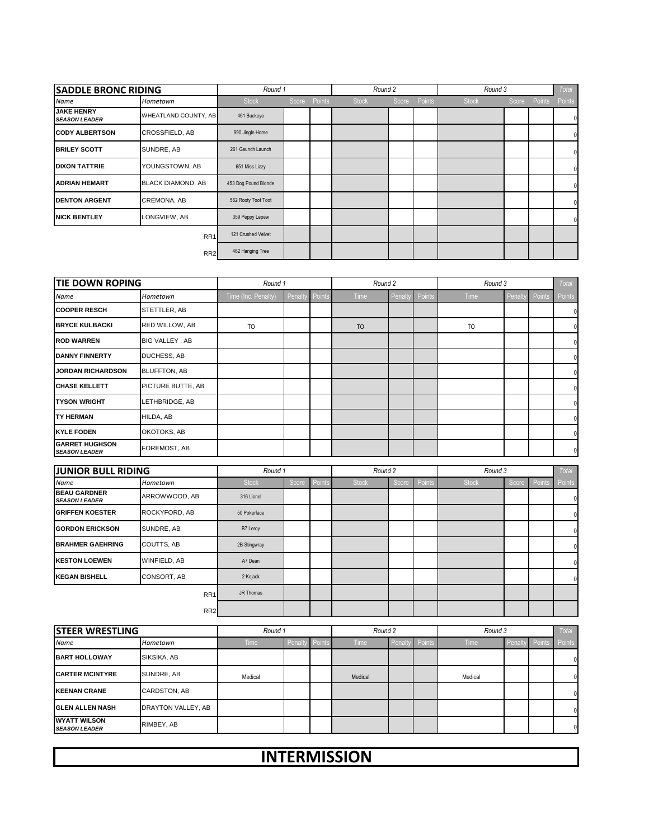| <b>SADDLE BRONC RIDING</b>                |                          | Round 1              |              | Round 2      |       |        | Round 3      |       |        | Total        |
|-------------------------------------------|--------------------------|----------------------|--------------|--------------|-------|--------|--------------|-------|--------|--------------|
| Name                                      | Hometown                 | <b>Stock</b>         | Score Points | <b>Stock</b> | Score | Points | <b>Stock</b> | Score | Points | Points       |
| <b>JAKE HENRY</b><br><b>SEASON LEADER</b> | WHEATLAND COUNTY, AB     | 461 Buckeye          |              |              |       |        |              |       |        | 0            |
| <b>CODY ALBERTSON</b>                     | <b>CROSSFIELD, AB</b>    | 990 Jingle Horse     |              |              |       |        |              |       |        | 0            |
| <b>BRILEY SCOTT</b>                       | SUNDRE, AB               | 261 Gaunch Launch    |              |              |       |        |              |       |        | $\mathbf{0}$ |
| <b>DIXON TATTRIE</b>                      | YOUNGSTOWN, AB           | 651 Miss Lizzy       |              |              |       |        |              |       |        | $\mathbf{0}$ |
| <b>ADRIAN HEMART</b>                      | <b>BLACK DIAMOND, AB</b> | 453 Dog Pound Blonde |              |              |       |        |              |       |        | $\mathbf{0}$ |
| <b>DENTON ARGENT</b>                      | CREMONA, AB              | 562 Rooty Toot Toot  |              |              |       |        |              |       |        | $\mathbf{0}$ |
| <b>NICK BENTLEY</b>                       | LONGVIEW, AB             | 359 Peppy Lepew      |              |              |       |        |              |       |        | $\mathbf{0}$ |
|                                           | RR <sub>1</sub>          | 121 Crushed Velvet   |              |              |       |        |              |       |        |              |
|                                           | RR <sub>2</sub>          | 462 Hanging Tree     |              |              |       |        |              |       |        |              |

| <b>TIE DOWN ROPING</b>                        |                       | Round 1             |         |        | Round 2        |        |        | Round 3   |        |               | Total        |
|-----------------------------------------------|-----------------------|---------------------|---------|--------|----------------|--------|--------|-----------|--------|---------------|--------------|
| Name                                          | Hometown              | Time (Inc. Penalty) | Penalty | Points | Time           | Penalt | Points | Time      | Penalt | <b>Points</b> | Points       |
| <b>COOPER RESCH</b>                           | STETTLER, AB          |                     |         |        |                |        |        |           |        |               | 0            |
| <b>BRYCE KULBACKI</b>                         | RED WILLOW, AB        | T <sub>O</sub>      |         |        | T <sub>O</sub> |        |        | <b>TO</b> |        |               | 0            |
| <b>ROD WARREN</b>                             | <b>BIG VALLEY, AB</b> |                     |         |        |                |        |        |           |        |               | 0            |
| <b>DANNY FINNERTY</b>                         | <b>DUCHESS, AB</b>    |                     |         |        |                |        |        |           |        |               | $\Omega$     |
| <b>JORDAN RICHARDSON</b>                      | <b>BLUFFTON, AB</b>   |                     |         |        |                |        |        |           |        |               | $\Omega$     |
| <b>CHASE KELLETT</b>                          | PICTURE BUTTE, AB     |                     |         |        |                |        |        |           |        |               | $\mathbf{0}$ |
| <b>TYSON WRIGHT</b>                           | LETHBRIDGE, AB        |                     |         |        |                |        |        |           |        |               | 0            |
| <b>TY HERMAN</b>                              | HILDA, AB             |                     |         |        |                |        |        |           |        |               | $\mathbf{0}$ |
| <b>KYLE FODEN</b>                             | OKOTOKS, AB           |                     |         |        |                |        |        |           |        |               | $\mathbf{0}$ |
| <b>GARRET HUGHSON</b><br><b>SEASON LEADER</b> | FOREMOST, AB          |                     |         |        |                |        |        |           |        |               | 0            |

| <b>JUNIOR BULL RIDING</b>                   |                    | Round 1      |       |        | Round 2      |       |        | Round 3      |       |        | Total          |
|---------------------------------------------|--------------------|--------------|-------|--------|--------------|-------|--------|--------------|-------|--------|----------------|
| Name                                        | Hometown           | <b>Stock</b> | Score | Points | <b>Stock</b> | Score | Points | <b>Stock</b> | Score | Points | Points         |
| <b>BEAU GARDNER</b><br><b>SEASON LEADER</b> | ARROWWOOD, AB      | 316 Lionel   |       |        |              |       |        |              |       |        | 01             |
| <b>GRIFFEN KOESTER</b>                      | ROCKYFORD, AB      | 50 Pokerface |       |        |              |       |        |              |       |        |                |
| <b>GORDON ERICKSON</b>                      | SUNDRE, AB         | B7 Leroy     |       |        |              |       |        |              |       |        | $\Omega$       |
| <b>BRAHMER GAEHRING</b>                     | <b>COUTTS, AB</b>  | 2B Stingwray |       |        |              |       |        |              |       |        |                |
| <b>KESTON LOEWEN</b>                        | WINFIELD, AB       | A7 Dean      |       |        |              |       |        |              |       |        |                |
| <b>KEGAN BISHELL</b>                        | <b>CONSORT, AB</b> | 2 Kojack     |       |        |              |       |        |              |       |        | $\overline{0}$ |
|                                             | RR <sub>1</sub>    | JR Thomas    |       |        |              |       |        |              |       |        |                |
|                                             | RR <sub>2</sub>    |              |       |        |              |       |        |              |       |        |                |

| <b>STEER WRESTLING</b>                       |                     | Round 1     |                       | Round 2     |         |        | Round 3     |         |               | <b>Total</b> |
|----------------------------------------------|---------------------|-------------|-----------------------|-------------|---------|--------|-------------|---------|---------------|--------------|
| <b>Name</b>                                  | Hometown            | <b>Time</b> | <b>Penalty Points</b> | <b>Time</b> | Penalty | Points | <b>Time</b> | Penalty | <b>Points</b> | Points       |
| <b>BART HOLLOWAY</b>                         | SIKSIKA, AB         |             |                       |             |         |        |             |         |               | $\mathbf 0$  |
| <b>ICARTER MCINTYRE</b>                      | SUNDRE, AB          | Medical     |                       | Medical     |         |        | Medical     |         |               | $\mathbf 0$  |
| <b>IKEENAN CRANE</b>                         | <b>CARDSTON, AB</b> |             |                       |             |         |        |             |         |               | $\mathbf 0$  |
| <b>IGLEN ALLEN NASH</b>                      | DRAYTON VALLEY, AB  |             |                       |             |         |        |             |         |               | $\mathbf 0$  |
| <b>IWYATT WILSON</b><br><b>SEASON LEADER</b> | RIMBEY, AB          |             |                       |             |         |        |             |         |               | $\mathbf 0$  |

## **INTERMISSION**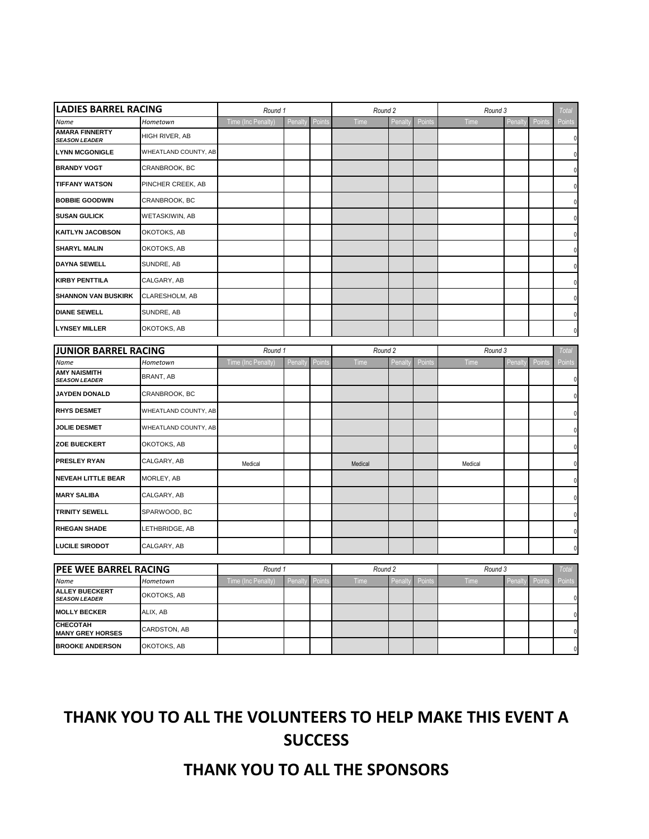| <b>LADIES BARREL RACING</b>                   |                       | Round 1            |         |        | Round 2 |         |        | Round 3 |         |        | Total        |
|-----------------------------------------------|-----------------------|--------------------|---------|--------|---------|---------|--------|---------|---------|--------|--------------|
| Name                                          | Hometown              | Time (Inc Penalty) | Penalty | Points | Time    | Penalty | Points | Time    | Penalty | Points | Points       |
| <b>AMARA FINNERTY</b><br><b>SEASON LEADER</b> | HIGH RIVER, AB        |                    |         |        |         |         |        |         |         |        | $\mathbf 0$  |
| <b>LYNN MCGONIGLE</b>                         | WHEATLAND COUNTY, AB  |                    |         |        |         |         |        |         |         |        | $\mathbf 0$  |
| <b>BRANDY VOGT</b>                            | CRANBROOK, BC         |                    |         |        |         |         |        |         |         |        | 0            |
| <b>TIFFANY WATSON</b>                         | PINCHER CREEK, AB     |                    |         |        |         |         |        |         |         |        | 0            |
| <b>BOBBIE GOODWIN</b>                         | CRANBROOK, BC         |                    |         |        |         |         |        |         |         |        | $\mathbf{0}$ |
| <b>SUSAN GULICK</b>                           | <b>WETASKIWIN, AB</b> |                    |         |        |         |         |        |         |         |        | 0            |
| <b>KAITLYN JACOBSON</b>                       | OKOTOKS, AB           |                    |         |        |         |         |        |         |         |        | $\mathbf{0}$ |
| <b>SHARYL MALIN</b>                           | OKOTOKS, AB           |                    |         |        |         |         |        |         |         |        | $\mathbf{0}$ |
| <b>DAYNA SEWELL</b>                           | SUNDRE, AB            |                    |         |        |         |         |        |         |         |        | 0            |
| <b>KIRBY PENTTILA</b>                         | CALGARY, AB           |                    |         |        |         |         |        |         |         |        | 0            |
| <b>SHANNON VAN BUSKIRK</b>                    | CLARESHOLM, AB        |                    |         |        |         |         |        |         |         |        | 0            |
| <b>DIANE SEWELL</b>                           | SUNDRE, AB            |                    |         |        |         |         |        |         |         |        | $\pmb{0}$    |
| <b>LYNSEY MILLER</b>                          | OKOTOKS, AB           |                    |         |        |         |         |        |         |         |        | $\mathbf{0}$ |
| <b>JUNIOR BARREL RACING</b>                   |                       | Round 1            |         |        | Round 2 |         |        | Round 3 |         |        | Total        |
| Name                                          | Hometown              | Time (Inc Penalty) | Penalty | Point  | Time    | Penalty | Points | Time    | Penalty | Points | Points       |
| <b>AMY NAISMITH</b><br><b>SEASON LEADER</b>   | BRANT, AB             |                    |         |        |         |         |        |         |         |        | 0            |
| <b>JAYDEN DONALD</b>                          | CRANBROOK, BC         |                    |         |        |         |         |        |         |         |        | $\mathbf{0}$ |
| <b>RHYS DESMET</b>                            | WHEATLAND COUNTY, AB  |                    |         |        |         |         |        |         |         |        | 0            |
| <b>JOLIE DESMET</b>                           | WHEATLAND COUNTY, AB  |                    |         |        |         |         |        |         |         |        | $\mathbf{0}$ |
| <b>ZOE BUECKERT</b>                           | OKOTOKS, AB           |                    |         |        |         |         |        |         |         |        | $\mathbf 0$  |
| <b>PRESLEY RYAN</b>                           | CALGARY, AB           | Medical            |         |        | Medical |         |        | Medical |         |        | $\mathbf 0$  |
| <b>NEVEAH LITTLE BEAR</b>                     | MORLEY, AB            |                    |         |        |         |         |        |         |         |        | $\mathbf 0$  |
| <b>MARY SALIBA</b>                            | CALGARY, AB           |                    |         |        |         |         |        |         |         |        | $\mathbf{0}$ |
| <b>TRINITY SEWELL</b>                         | SPARWOOD, BC          |                    |         |        |         |         |        |         |         |        | $\mathbf 0$  |
| <b>RHEGAN SHADE</b>                           | LETHBRIDGE, AB        |                    |         |        |         |         |        |         |         |        | $\mathbf 0$  |
| <b>LUCILE SIRODOT</b>                         | CALGARY, AB           |                    |         |        |         |         |        |         |         |        | $\mathbf 0$  |
|                                               |                       |                    |         |        |         |         |        |         |         |        |              |
| <b>PEE WEE BARREL RACING</b>                  |                       | Round 1            |         |        | Round 2 |         |        | Round 3 |         |        | Total        |
| Name<br><b>ALLEY BUECKERT</b>                 | Hometown              | Time (Inc Penalty) | Penalty | Points | Time    | Penalty | Points | Time    | Penalty | Points | Points       |
| <b>SEASON LEADER</b>                          | OKOTOKS, AB           |                    |         |        |         |         |        |         |         |        | $\pmb{0}$    |
| <b>MOLLY BECKER</b>                           | ALIX, AB              |                    |         |        |         |         |        |         |         |        | $\mathbf 0$  |
| <b>CHECOTAH</b><br><b>MANY GREY HORSES</b>    | CARDSTON, AB          |                    |         |        |         |         |        |         |         |        | $\pmb{0}$    |
| <b>BROOKE ANDERSON</b>                        | OKOTOKS, AB           |                    |         |        |         |         |        |         |         |        | $\mathbf 0$  |

## **THANK YOU TO ALL THE VOLUNTEERS TO HELP MAKE THIS EVENT A SUCCESS**

**THANK YOU TO ALL THE SPONSORS**